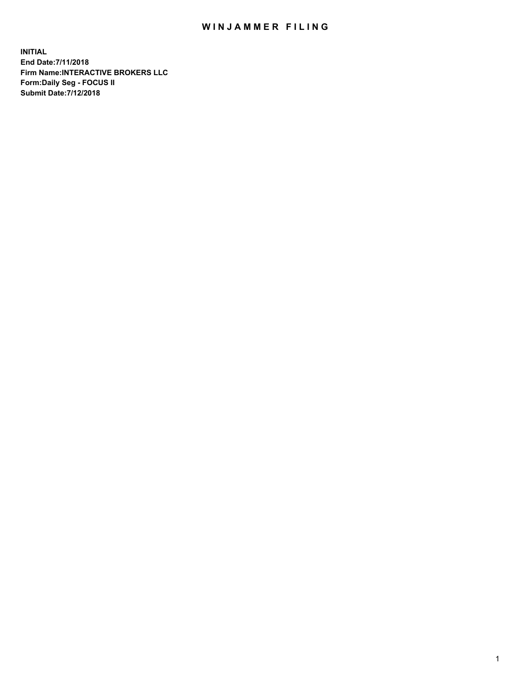## WIN JAMMER FILING

**INITIAL End Date:7/11/2018 Firm Name:INTERACTIVE BROKERS LLC Form:Daily Seg - FOCUS II Submit Date:7/12/2018**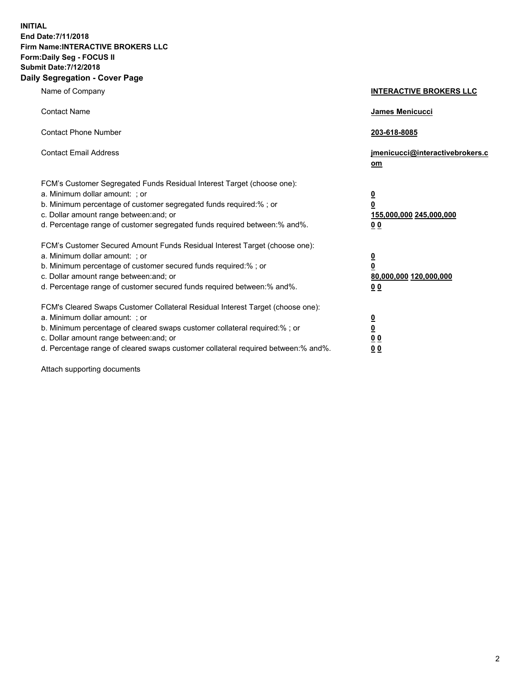**INITIAL End Date:7/11/2018 Firm Name:INTERACTIVE BROKERS LLC Form:Daily Seg - FOCUS II Submit Date:7/12/2018 Daily Segregation - Cover Page**

| Name of Company                                                                                                                                                                                                                                                                                                                | <b>INTERACTIVE BROKERS LLC</b>                                                                  |
|--------------------------------------------------------------------------------------------------------------------------------------------------------------------------------------------------------------------------------------------------------------------------------------------------------------------------------|-------------------------------------------------------------------------------------------------|
| <b>Contact Name</b>                                                                                                                                                                                                                                                                                                            | James Menicucci                                                                                 |
| <b>Contact Phone Number</b>                                                                                                                                                                                                                                                                                                    | 203-618-8085                                                                                    |
| <b>Contact Email Address</b>                                                                                                                                                                                                                                                                                                   | jmenicucci@interactivebrokers.c<br>om                                                           |
| FCM's Customer Segregated Funds Residual Interest Target (choose one):<br>a. Minimum dollar amount: ; or<br>b. Minimum percentage of customer segregated funds required:% ; or<br>c. Dollar amount range between: and; or<br>d. Percentage range of customer segregated funds required between:% and%.                         | $\overline{\mathbf{0}}$<br>$\overline{\mathbf{0}}$<br>155,000,000 245,000,000<br>0 <sub>0</sub> |
| FCM's Customer Secured Amount Funds Residual Interest Target (choose one):<br>a. Minimum dollar amount: ; or<br>b. Minimum percentage of customer secured funds required:% ; or<br>c. Dollar amount range between: and; or<br>d. Percentage range of customer secured funds required between:% and%.                           | $\overline{\mathbf{0}}$<br>0<br>80,000,000 120,000,000<br>0 <sub>0</sub>                        |
| FCM's Cleared Swaps Customer Collateral Residual Interest Target (choose one):<br>a. Minimum dollar amount: ; or<br>b. Minimum percentage of cleared swaps customer collateral required:% ; or<br>c. Dollar amount range between: and; or<br>d. Percentage range of cleared swaps customer collateral required between:% and%. | $\overline{\mathbf{0}}$<br><u>0</u><br>$\underline{0}$ $\underline{0}$<br>00                    |

Attach supporting documents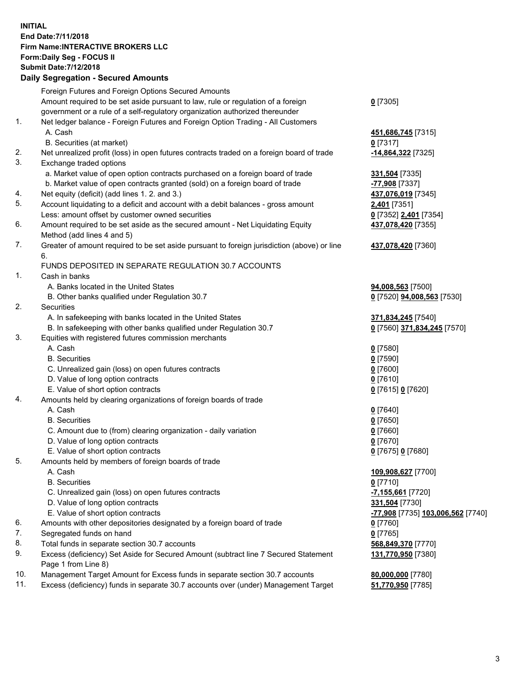## **INITIAL End Date:7/11/2018 Firm Name:INTERACTIVE BROKERS LLC Form:Daily Seg - FOCUS II Submit Date:7/12/2018 Daily Segregation - Secured Amounts**

|     | Daily Segregation - Secured Alliounts                                                       |                                                |
|-----|---------------------------------------------------------------------------------------------|------------------------------------------------|
|     | Foreign Futures and Foreign Options Secured Amounts                                         |                                                |
|     | Amount required to be set aside pursuant to law, rule or regulation of a foreign            | $0$ [7305]                                     |
|     | government or a rule of a self-regulatory organization authorized thereunder                |                                                |
| 1.  | Net ledger balance - Foreign Futures and Foreign Option Trading - All Customers             |                                                |
|     | A. Cash                                                                                     | 451,686,745 [7315]                             |
|     | B. Securities (at market)                                                                   | $0$ [7317]                                     |
| 2.  | Net unrealized profit (loss) in open futures contracts traded on a foreign board of trade   | 14,864,322 [7325]                              |
| 3.  | Exchange traded options                                                                     |                                                |
|     | a. Market value of open option contracts purchased on a foreign board of trade              | 331,504 [7335]                                 |
|     | b. Market value of open contracts granted (sold) on a foreign board of trade                | -77,908 [7337]                                 |
| 4.  | Net equity (deficit) (add lines 1.2. and 3.)                                                | 437,076,019 [7345]                             |
| 5.  | Account liquidating to a deficit and account with a debit balances - gross amount           | 2,401 [7351]                                   |
|     | Less: amount offset by customer owned securities                                            | 0 [7352] 2,401 [7354]                          |
| 6.  | Amount required to be set aside as the secured amount - Net Liquidating Equity              | 437,078,420 [7355]                             |
|     | Method (add lines 4 and 5)                                                                  |                                                |
| 7.  | Greater of amount required to be set aside pursuant to foreign jurisdiction (above) or line | 437,078,420 [7360]                             |
|     | 6.                                                                                          |                                                |
|     | FUNDS DEPOSITED IN SEPARATE REGULATION 30.7 ACCOUNTS                                        |                                                |
| 1.  | Cash in banks                                                                               |                                                |
|     | A. Banks located in the United States                                                       | 94,008,563 [7500]                              |
|     | B. Other banks qualified under Regulation 30.7                                              | 0 [7520] 94,008,563 [7530]                     |
| 2.  | Securities                                                                                  |                                                |
|     | A. In safekeeping with banks located in the United States                                   | 371,834,245 [7540]                             |
|     | B. In safekeeping with other banks qualified under Regulation 30.7                          | 0 [7560] 371,834,245 [7570]                    |
| 3.  | Equities with registered futures commission merchants                                       |                                                |
|     | A. Cash                                                                                     | $0$ [7580]                                     |
|     | <b>B.</b> Securities                                                                        | $0$ [7590]                                     |
|     | C. Unrealized gain (loss) on open futures contracts                                         | $0$ [7600]                                     |
|     | D. Value of long option contracts<br>E. Value of short option contracts                     | $0$ [7610]                                     |
| 4.  | Amounts held by clearing organizations of foreign boards of trade                           | 0 [7615] 0 [7620]                              |
|     | A. Cash                                                                                     | $0$ [7640]                                     |
|     | <b>B.</b> Securities                                                                        | $0$ [7650]                                     |
|     | C. Amount due to (from) clearing organization - daily variation                             | $0$ [7660]                                     |
|     | D. Value of long option contracts                                                           | $0$ [7670]                                     |
|     | E. Value of short option contracts                                                          | 0 [7675] 0 [7680]                              |
| 5.  | Amounts held by members of foreign boards of trade                                          |                                                |
|     | A. Cash                                                                                     | 109,908,627 [7700]                             |
|     | <b>B.</b> Securities                                                                        | $0$ [7710]                                     |
|     | C. Unrealized gain (loss) on open futures contracts                                         | -7,155,661 <sup>[7720]</sup>                   |
|     | D. Value of long option contracts                                                           | 331,504 [7730]                                 |
|     | E. Value of short option contracts                                                          | <mark>-77,908</mark> [7735] 103,006,562 [7740] |
| 6.  | Amounts with other depositories designated by a foreign board of trade                      | 0 [7760]                                       |
| 7.  | Segregated funds on hand                                                                    | $0$ [7765]                                     |
| 8.  | Total funds in separate section 30.7 accounts                                               | 568,849,370 [7770]                             |
| 9.  | Excess (deficiency) Set Aside for Secured Amount (subtract line 7 Secured Statement         | 131,770,950 [7380]                             |
|     | Page 1 from Line 8)                                                                         |                                                |
| 10. | Management Target Amount for Excess funds in separate section 30.7 accounts                 | 80,000,000 [7780]                              |
| 11. | Excess (deficiency) funds in separate 30.7 accounts over (under) Management Target          | 51,770,950 [7785]                              |
|     |                                                                                             |                                                |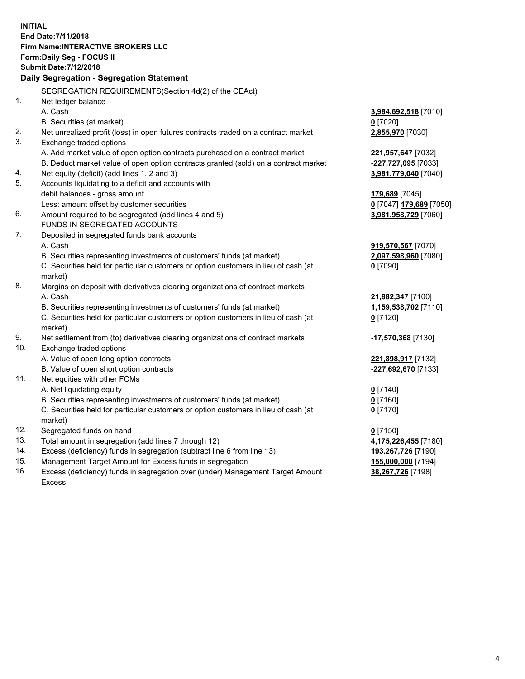**INITIAL End Date:7/11/2018 Firm Name:INTERACTIVE BROKERS LLC Form:Daily Seg - FOCUS II Submit Date:7/12/2018 Daily Segregation - Segregation Statement** SEGREGATION REQUIREMENTS(Section 4d(2) of the CEAct) 1. Net ledger balance A. Cash **3,984,692,518** [7010] B. Securities (at market) **0** [7020] 2. Net unrealized profit (loss) in open futures contracts traded on a contract market **2,855,970** [7030] 3. Exchange traded options A. Add market value of open option contracts purchased on a contract market **221,957,647** [7032] B. Deduct market value of open option contracts granted (sold) on a contract market **-227,727,095** [7033] 4. Net equity (deficit) (add lines 1, 2 and 3) **3,981,779,040** [7040] 5. Accounts liquidating to a deficit and accounts with debit balances - gross amount **179,689** [7045] Less: amount offset by customer securities **0** [7047] **179,689** [7050] 6. Amount required to be segregated (add lines 4 and 5) **3,981,958,729** [7060] FUNDS IN SEGREGATED ACCOUNTS 7. Deposited in segregated funds bank accounts A. Cash **919,570,567** [7070] B. Securities representing investments of customers' funds (at market) **2,097,598,960** [7080] C. Securities held for particular customers or option customers in lieu of cash (at market) **0** [7090] 8. Margins on deposit with derivatives clearing organizations of contract markets A. Cash **21,882,347** [7100] B. Securities representing investments of customers' funds (at market) **1,159,538,702** [7110] C. Securities held for particular customers or option customers in lieu of cash (at market) **0** [7120] 9. Net settlement from (to) derivatives clearing organizations of contract markets **-17,570,368** [7130] 10. Exchange traded options A. Value of open long option contracts **221,898,917** [7132] B. Value of open short option contracts **-227,692,670** [7133] 11. Net equities with other FCMs A. Net liquidating equity **0** [7140] B. Securities representing investments of customers' funds (at market) **0** [7160] C. Securities held for particular customers or option customers in lieu of cash (at market) **0** [7170] 12. Segregated funds on hand **0** [7150] 13. Total amount in segregation (add lines 7 through 12) **4,175,226,455** [7180] 14. Excess (deficiency) funds in segregation (subtract line 6 from line 13) **193,267,726** [7190] 15. Management Target Amount for Excess funds in segregation **155,000,000** [7194]

16. Excess (deficiency) funds in segregation over (under) Management Target Amount Excess

**38,267,726** [7198]